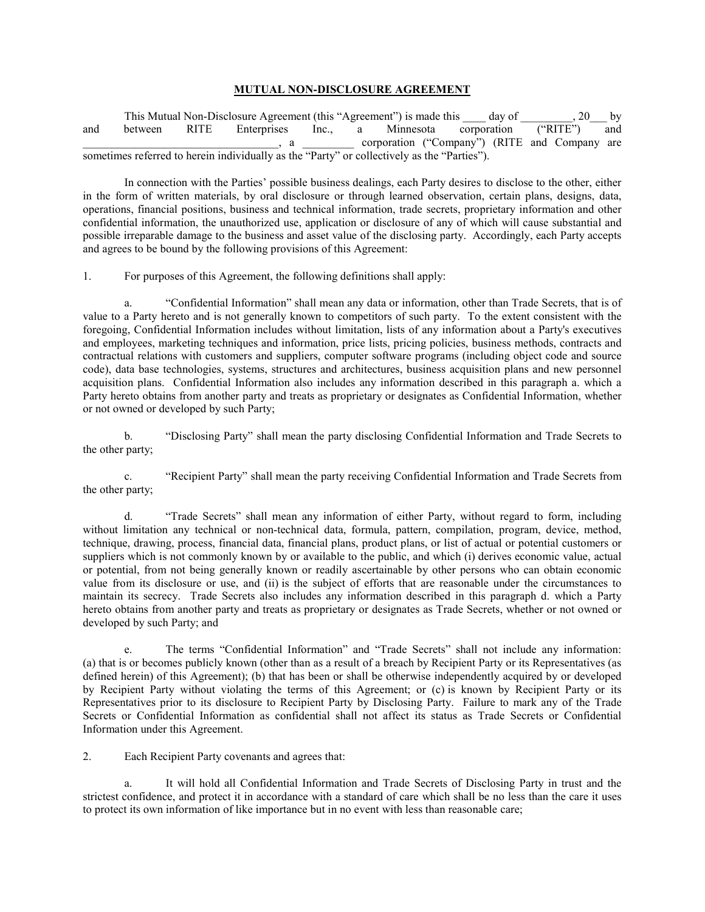## **MUTUAL NON-DISCLOSURE AGREEMENT**

This Mutual Non-Disclosure Agreement (this "Agreement") is made this \_\_\_\_\_ day of \_\_\_\_\_\_\_\_, 20\_\_\_ by and between RITE Enterprises Inc., a Minnesota corporation ("RITE") and \_\_\_\_\_\_\_\_\_\_\_\_\_\_\_\_\_\_\_\_\_\_\_\_\_\_\_\_\_\_\_\_\_\_, a \_\_\_\_\_\_\_\_\_ corporation ("Company") (RITE and Company are sometimes referred to herein individually as the "Party" or collectively as the "Parties").

In connection with the Parties' possible business dealings, each Party desires to disclose to the other, either in the form of written materials, by oral disclosure or through learned observation, certain plans, designs, data, operations, financial positions, business and technical information, trade secrets, proprietary information and other confidential information, the unauthorized use, application or disclosure of any of which will cause substantial and possible irreparable damage to the business and asset value of the disclosing party. Accordingly, each Party accepts and agrees to be bound by the following provisions of this Agreement:

1. For purposes of this Agreement, the following definitions shall apply:

a. "Confidential Information" shall mean any data or information, other than Trade Secrets, that is of value to a Party hereto and is not generally known to competitors of such party. To the extent consistent with the foregoing, Confidential Information includes without limitation, lists of any information about a Party's executives and employees, marketing techniques and information, price lists, pricing policies, business methods, contracts and contractual relations with customers and suppliers, computer software programs (including object code and source code), data base technologies, systems, structures and architectures, business acquisition plans and new personnel acquisition plans. Confidential Information also includes any information described in this paragraph a. which a Party hereto obtains from another party and treats as proprietary or designates as Confidential Information, whether or not owned or developed by such Party;

b. "Disclosing Party" shall mean the party disclosing Confidential Information and Trade Secrets to the other party;

c. "Recipient Party" shall mean the party receiving Confidential Information and Trade Secrets from the other party;

d. "Trade Secrets" shall mean any information of either Party, without regard to form, including without limitation any technical or non-technical data, formula, pattern, compilation, program, device, method, technique, drawing, process, financial data, financial plans, product plans, or list of actual or potential customers or suppliers which is not commonly known by or available to the public, and which (i) derives economic value, actual or potential, from not being generally known or readily ascertainable by other persons who can obtain economic value from its disclosure or use, and (ii) is the subject of efforts that are reasonable under the circumstances to maintain its secrecy. Trade Secrets also includes any information described in this paragraph d. which a Party hereto obtains from another party and treats as proprietary or designates as Trade Secrets, whether or not owned or developed by such Party; and

e. The terms "Confidential Information" and "Trade Secrets" shall not include any information: (a) that is or becomes publicly known (other than as a result of a breach by Recipient Party or its Representatives (as defined herein) of this Agreement); (b) that has been or shall be otherwise independently acquired by or developed by Recipient Party without violating the terms of this Agreement; or (c) is known by Recipient Party or its Representatives prior to its disclosure to Recipient Party by Disclosing Party. Failure to mark any of the Trade Secrets or Confidential Information as confidential shall not affect its status as Trade Secrets or Confidential Information under this Agreement.

2. Each Recipient Party covenants and agrees that:

a. It will hold all Confidential Information and Trade Secrets of Disclosing Party in trust and the strictest confidence, and protect it in accordance with a standard of care which shall be no less than the care it uses to protect its own information of like importance but in no event with less than reasonable care;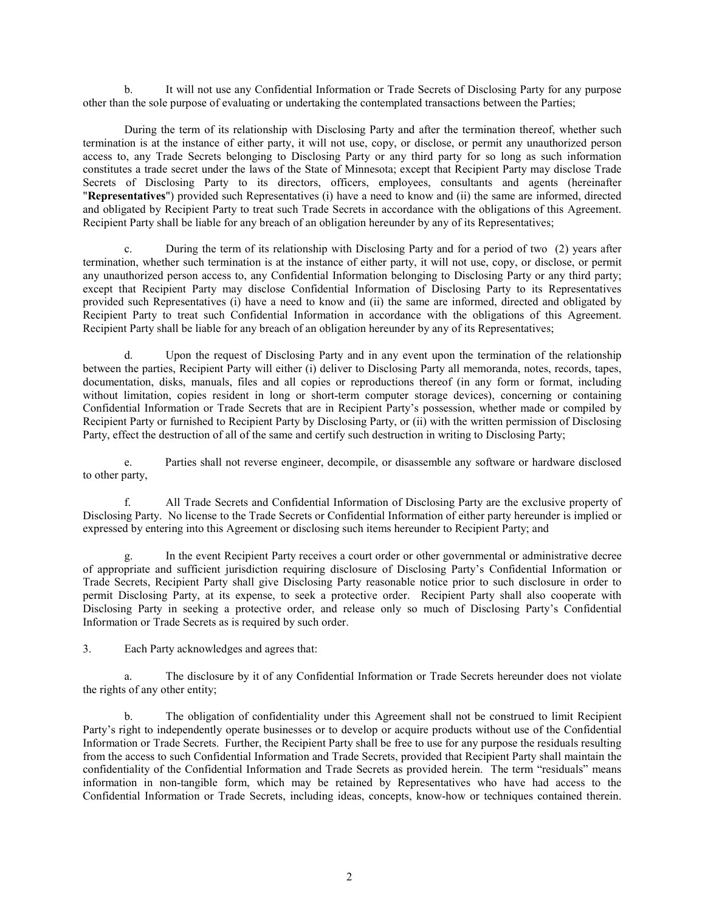b. It will not use any Confidential Information or Trade Secrets of Disclosing Party for any purpose other than the sole purpose of evaluating or undertaking the contemplated transactions between the Parties;

During the term of its relationship with Disclosing Party and after the termination thereof, whether such termination is at the instance of either party, it will not use, copy, or disclose, or permit any unauthorized person access to, any Trade Secrets belonging to Disclosing Party or any third party for so long as such information constitutes a trade secret under the laws of the State of Minnesota; except that Recipient Party may disclose Trade Secrets of Disclosing Party to its directors, officers, employees, consultants and agents (hereinafter "**Representatives**") provided such Representatives (i) have a need to know and (ii) the same are informed, directed and obligated by Recipient Party to treat such Trade Secrets in accordance with the obligations of this Agreement. Recipient Party shall be liable for any breach of an obligation hereunder by any of its Representatives;

c. During the term of its relationship with Disclosing Party and for a period of two (2) years after termination, whether such termination is at the instance of either party, it will not use, copy, or disclose, or permit any unauthorized person access to, any Confidential Information belonging to Disclosing Party or any third party; except that Recipient Party may disclose Confidential Information of Disclosing Party to its Representatives provided such Representatives (i) have a need to know and (ii) the same are informed, directed and obligated by Recipient Party to treat such Confidential Information in accordance with the obligations of this Agreement. Recipient Party shall be liable for any breach of an obligation hereunder by any of its Representatives;

d. Upon the request of Disclosing Party and in any event upon the termination of the relationship between the parties, Recipient Party will either (i) deliver to Disclosing Party all memoranda, notes, records, tapes, documentation, disks, manuals, files and all copies or reproductions thereof (in any form or format, including without limitation, copies resident in long or short-term computer storage devices), concerning or containing Confidential Information or Trade Secrets that are in Recipient Party's possession, whether made or compiled by Recipient Party or furnished to Recipient Party by Disclosing Party, or (ii) with the written permission of Disclosing Party, effect the destruction of all of the same and certify such destruction in writing to Disclosing Party;

e. Parties shall not reverse engineer, decompile, or disassemble any software or hardware disclosed to other party,

f. All Trade Secrets and Confidential Information of Disclosing Party are the exclusive property of Disclosing Party. No license to the Trade Secrets or Confidential Information of either party hereunder is implied or expressed by entering into this Agreement or disclosing such items hereunder to Recipient Party; and

In the event Recipient Party receives a court order or other governmental or administrative decree of appropriate and sufficient jurisdiction requiring disclosure of Disclosing Party's Confidential Information or Trade Secrets, Recipient Party shall give Disclosing Party reasonable notice prior to such disclosure in order to permit Disclosing Party, at its expense, to seek a protective order. Recipient Party shall also cooperate with Disclosing Party in seeking a protective order, and release only so much of Disclosing Party's Confidential Information or Trade Secrets as is required by such order.

3. Each Party acknowledges and agrees that:

a. The disclosure by it of any Confidential Information or Trade Secrets hereunder does not violate the rights of any other entity;

b. The obligation of confidentiality under this Agreement shall not be construed to limit Recipient Party's right to independently operate businesses or to develop or acquire products without use of the Confidential Information or Trade Secrets. Further, the Recipient Party shall be free to use for any purpose the residuals resulting from the access to such Confidential Information and Trade Secrets, provided that Recipient Party shall maintain the confidentiality of the Confidential Information and Trade Secrets as provided herein. The term "residuals" means information in non-tangible form, which may be retained by Representatives who have had access to the Confidential Information or Trade Secrets, including ideas, concepts, know-how or techniques contained therein.